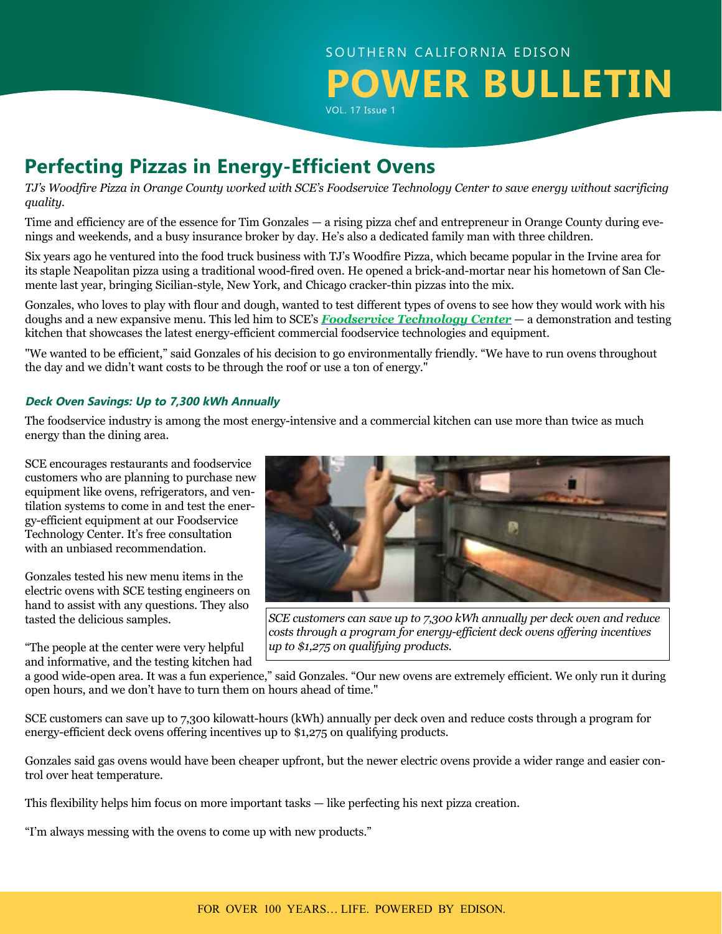# SOUTHERN CALIFORNIA EDISON **POWER BULLETIN** VOL. 17 Issue 1

# **Perfecting Pizzas in Energy-Efficient Ovens**

*TJ's Woodfire Pizza in Orange County worked with SCE's Foodservice Technology Center to save energy without sacrificing quality.*

Time and efficiency are of the essence for Tim Gonzales — a rising pizza chef and entrepreneur in Orange County during evenings and weekends, and a busy insurance broker by day. He's also a dedicated family man with three children.

Six years ago he ventured into the food truck business with TJ's Woodfire Pizza, which became popular in the Irvine area for its staple Neapolitan pizza using a traditional wood-fired oven. He opened a brick-and-mortar near his hometown of San Clemente last year, bringing Sicilian-style, New York, and Chicago cracker-thin pizzas into the mix.

Gonzales, who loves to play with flour and dough, wanted to test different types of ovens to see how they would work with his doughs and a new expansive menu. This led him to SCE's *[Foodservice Technology Center](https://www.sce.com/wps/portal/home/residential/news-events/energy-education-centers/irwindale/!ut/p/b1/tVLBUsIwFPwWDxwzeW3SNBxTZEo6agdBhV6YNA0YBgKUCvr3BgYPOiPIwZz2JfvevN0sLvAIF07t7Ew1duXU4lAXbJLJWxGkNJQp7RIQcDdgSZQG9D70hLEnwC9HwPf-_CnpgBjmPAuSBNJ7gl9wgYt1vZob3dgKj9s0ComatlHsEaI0jhAvWYlKRUjMmGa6rA4t2jXr5hWPt9pM9Mo1xjUT41pwwi2ozdZWHlm1aIEz-y0yO19uW2CcqWcfyFRv-igTaX9vav9i6711lVqY41L6sA8NOLAgVChSMUdUUY7KqWmjkMScG8XKgFUnE86ovGDi0QRPCXgqenIAMk8kA5l0RCfPM4A--0lIH-MQZPbcvcuTIAQangjtFLq9LPeEYZ-AJH14GAhBAL4mnPmpsVcR_7pml-LBlbZcGEiuHpj9IY12vtkUwgfkEIT3Bo_-KSHr5dOSkyUagZVIlRxItJiJm5tPFpdRog!!/dl4/d5/L2dBISEvZ0FBIS9nQSEh/)* — a demonstration and testing kitchen that showcases the latest energy-efficient commercial foodservice technologies and equipment.

"We wanted to be efficient," said Gonzales of his decision to go environmentally friendly. "We have to run ovens throughout the day and we didn't want costs to be through the roof or use a ton of energy."

#### **Deck Oven Savings: Up to 7,300 kWh Annually**

The foodservice industry is among the most energy-intensive and a commercial kitchen can use more than twice as much energy than the dining area.

SCE encourages restaurants and foodservice customers who are planning to purchase new equipment like ovens, refrigerators, and ventilation systems to come in and test the energy-efficient equipment at our Foodservice Technology Center. It's free consultation with an unbiased recommendation.

Gonzales tested his new menu items in the electric ovens with SCE testing engineers on hand to assist with any questions. They also tasted the delicious samples.

"The people at the center were very helpful and informative, and the testing kitchen had



*SCE customers can save up to 7,300 kWh annually per deck oven and reduce costs through a program for energy-efficient deck ovens offering incentives up to \$1,275 on qualifying products.*

a good wide-open area. It was a fun experience," said Gonzales. "Our new ovens are extremely efficient. We only run it during open hours, and we don't have to turn them on hours ahead of time."

SCE customers can save up to 7,300 kilowatt-hours (kWh) annually per deck oven and reduce costs through a program for energy-efficient deck ovens offering incentives up to \$1,275 on qualifying products.

Gonzales said gas ovens would have been cheaper upfront, but the newer electric ovens provide a wider range and easier control over heat temperature.

This flexibility helps him focus on more important tasks — like perfecting his next pizza creation.

"I'm always messing with the ovens to come up with new products."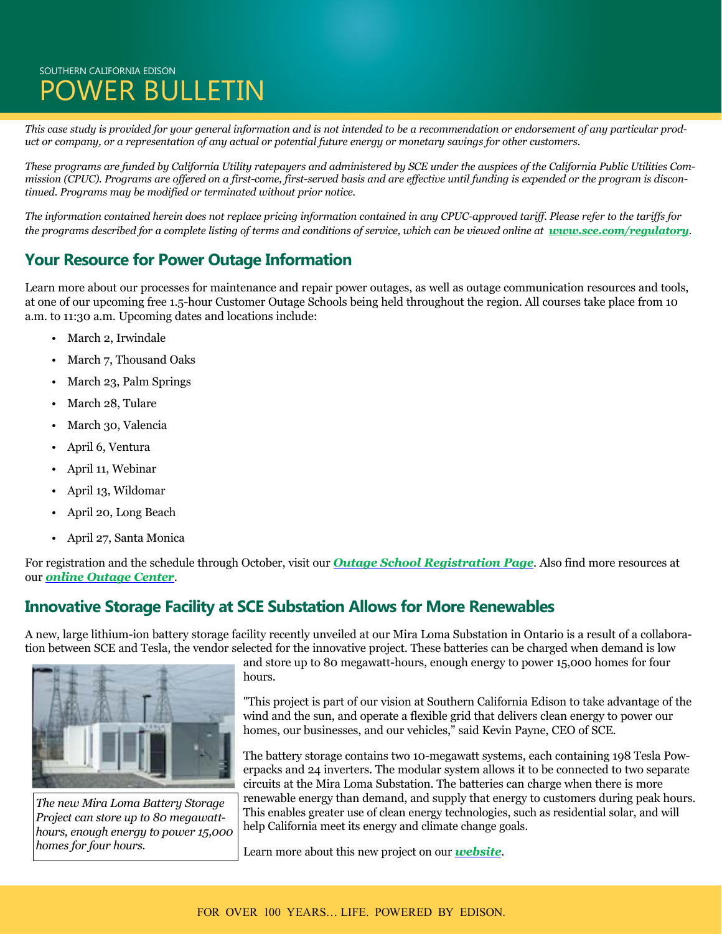## SOUTHERN CALIFORNIA EDISON POWER BULLETIN

*This case study is provided for your general information and is not intended to be a recommendation or endorsement of any particular product or company, or a representation of any actual or potential future energy or monetary savings for other customers.* 

*These programs are funded by California Utility ratepayers and administered by SCE under the auspices of the California Public Utilities Commission (CPUC). Programs are offered on a first-come, first-served basis and are effective until funding is expended or the program is discontinued. Programs may be modified or terminated without prior notice.* 

*The information contained herein does not replace pricing information contained in any CPUC-approved tariff. Please refer to the tariffs for the programs described for a complete listing of terms and conditions of service, which can be viewed online at <i>[www.sce.com/regulatory](http://www.sce.com/regulatory)*.

### **Your Resource for Power Outage Information**

Learn more about our processes for maintenance and repair power outages, as well as outage communication resources and tools, at one of our upcoming free 1.5-hour Customer Outage Schools being held throughout the region. All courses take place from 10 a.m. to 11:30 a.m. Upcoming dates and locations include:

- March 2, Irwindale
- March 7, Thousand Oaks
- March 23, Palm Springs
- March 28, Tulare
- March 30, Valencia
- April 6, Ventura
- April 11, Webinar
- April 13, Wildomar
- April 20, Long Beach
- April 27, Santa Monica

For registration and the schedule through October, visit our *[Outage School Registration Page](https://survey.sce.com/perseus/se.ashx?s=0B87A62B073C413F)*. Also find more resources at our *[online Outage Center](https://www.sce.com/wps/portal/home/outage-center/!ut/p/b1/lVLBUoMwEP0VPfTIZJkQEo5ppwPUKiIUCxcmTdOKWqAaO-rXGyonZ4rtnrIz7719m7eoQEtU1OJQbYWumlq8dn3hljbzeRAmELJ5RiEc-0mc3WcQeLYB5AYAJ4rDkR8F9iRghu_HCQa-cCaB53IbwEGPqECFrHWrn1D-LlUpm1qrWpeqHkH_HkHzocVWXUnTqLeO0cpqjfIVJsxjlFgbd7W2HEcSS9iEWIpKoTaCYmbT3uGAhX82PDochvwCPB-mwSwyI9IYQ4hjuEs4xwBuDxj4pdyYpCdHEEDJhVv_EYyID0Zw6t_cjlOAlF4sODvjEqrn_b7gJs8ut0-NlmcG2u4WO4a_rJcHBpi0h-85v_4BTaC7ZQ!!/dl4/d5/L2dBISEvZ0FBIS9nQSEh/)*.

#### **Innovative Storage Facility at SCE Substation Allows for More Renewables**

A new, large lithium-ion battery storage facility recently unveiled at our Mira Loma Substation in Ontario is a result of a collaboration between SCE and Tesla, the vendor selected for the innovative project. These batteries can be charged when demand is low



*The new Mira Loma Battery Storage Project can store up to 80 megawatthours, enough energy to power 15,000 homes for four hours.*

and store up to 80 megawatt-hours, enough energy to power 15,000 homes for four hours.

"This project is part of our vision at Southern California Edison to take advantage of the wind and the sun, and operate a flexible grid that delivers clean energy to power our homes, our businesses, and our vehicles," said Kevin Payne, CEO of SCE.

The battery storage contains two 10-megawatt systems, each containing 198 Tesla Powerpacks and 24 inverters. The modular system allows it to be connected to two separate circuits at the Mira Loma Substation. The batteries can charge when there is more renewable energy than demand, and supply that energy to customers during peak hours. This enables greater use of clean energy technologies, such as residential solar, and will help California meet its energy and climate change goals.

Learn more about this new project on our *[website](http://insideedison.com/stories/innovative-battery-storage-facility-at-sces-mira-loma-substation-allows-for-more-renewables)*.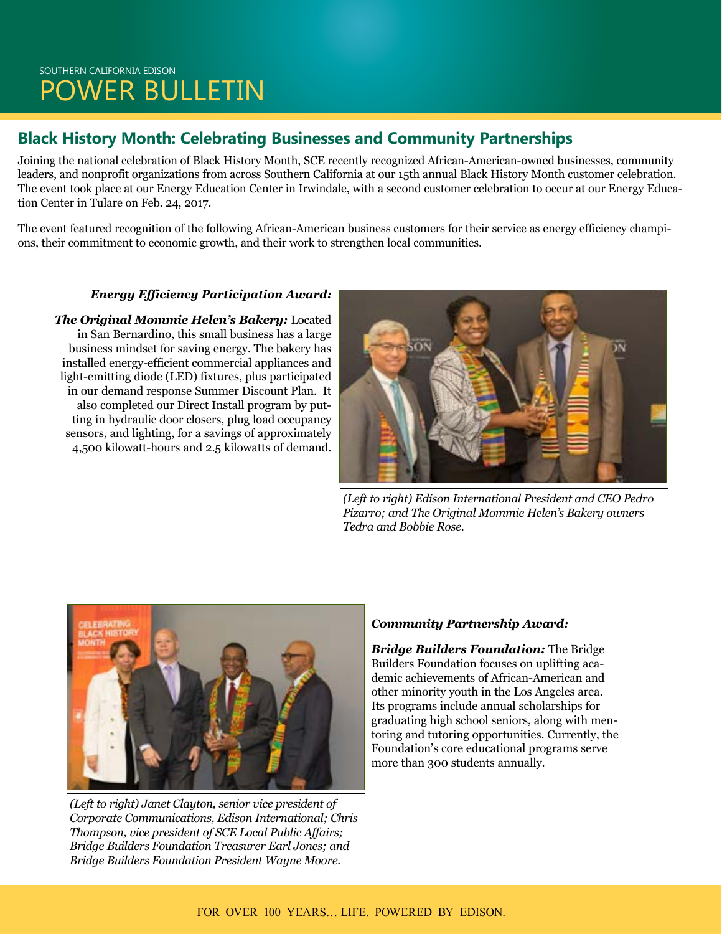## SOUTHERN CALIFORNIA EDISON POWER BULLETIN

### **Black History Month: Celebrating Businesses and Community Partnerships**

Joining the national celebration of Black History Month, SCE recently recognized African-American-owned businesses, community leaders, and nonprofit organizations from across Southern California at our 15th annual Black History Month customer celebration. The event took place at our Energy Education Center in Irwindale, with a second customer celebration to occur at our Energy Education Center in Tulare on Feb. 24, 2017.

The event featured recognition of the following African-American business customers for their service as energy efficiency champions, their commitment to economic growth, and their work to strengthen local communities.

#### *Energy Efficiency Participation Award:*

*The Original Mommie Helen's Bakery:* Located in San Bernardino, this small business has a large business mindset for saving energy. The bakery has installed energy-efficient commercial appliances and light-emitting diode (LED) fixtures, plus participated in our demand response Summer Discount Plan. It also completed our Direct Install program by putting in hydraulic door closers, plug load occupancy sensors, and lighting, for a savings of approximately 4,500 kilowatt-hours and 2.5 kilowatts of demand.



*(Left to right) Edison International President and CEO Pedro Pizarro; and The Original Mommie Helen's Bakery owners Tedra and Bobbie Rose.*



*(Left to right) Janet Clayton, senior vice president of Corporate Communications, Edison International; Chris Thompson, vice president of SCE Local Public Affairs; Bridge Builders Foundation Treasurer Earl Jones; and Bridge Builders Foundation President Wayne Moore.*

#### *Community Partnership Award:*

*Bridge Builders Foundation:* The Bridge Builders Foundation focuses on uplifting academic achievements of African-American and other minority youth in the Los Angeles area. Its programs include annual scholarships for graduating high school seniors, along with mentoring and tutoring opportunities. Currently, the Foundation's core educational programs serve more than 300 students annually.